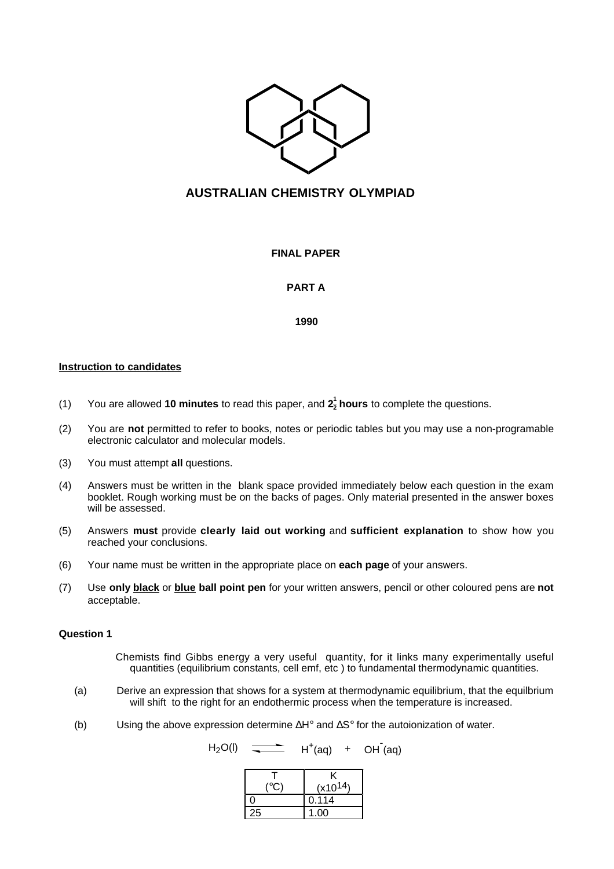

# **AUSTRALIAN CHEMISTRY OLYMPIAD**

**FINAL PAPER**

# **PART A**

**1990**

# **Instruction to candidates**

- (1) You are allowed **10 minutes** to read this paper, and **2 1 2 hours** to complete the questions.
- (2) You are **not** permitted to refer to books, notes or periodic tables but you may use a non-programable electronic calculator and molecular models.
- (3) You must attempt **all** questions.
- (4) Answers must be written in the blank space provided immediately below each question in the exam booklet. Rough working must be on the backs of pages. Only material presented in the answer boxes will be assessed.
- (5) Answers **must** provide **clearly laid out working** and **sufficient explanation** to show how you reached your conclusions.
- (6) Your name must be written in the appropriate place on **each page** of your answers.
- (7) Use **only black** or **blue ball point pen** for your written answers, pencil or other coloured pens are **not** acceptable.

### **Question 1**

Chemists find Gibbs energy a very useful quantity, for it links many experimentally useful quantities (equilibrium constants, cell emf, etc ) to fundamental thermodynamic quantities.

- (a) Derive an expression that shows for a system at thermodynamic equilibrium, that the equilbrium will shift to the right for an endothermic process when the temperature is increased.
- (b) Using the above expression determine ∆H° and ∆S° for the autoionization of water.

 $H_2O(l)$   $\longrightarrow$   $H^+(aq)$  +  $OH(qq)$ 

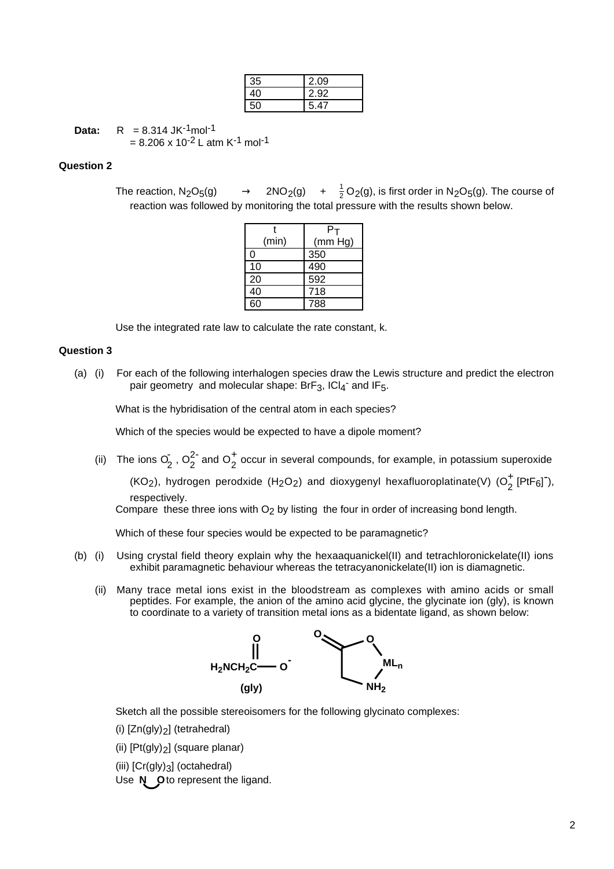| 35 | 2.09 |
|----|------|
|    | 2.92 |
|    | 5.47 |

**Data:**  $R = 8.314 \text{ JK}^{-1} \text{mol}^{-1}$ = 8.206 x 10<sup>-2</sup> L atm K<sup>-1</sup> mol<sup>-1</sup>

# **Question 2**

The reaction, N<sub>2</sub>O<sub>5</sub>(g)  $\quad \longrightarrow \quad$  2NO<sub>2</sub>(g)  $\quad + \quad \frac{1}{2}$ O<sub>2</sub>(g), is first order in N<sub>2</sub>O<sub>5</sub>(g). The course of reaction was followed by monitoring the total pressure with the results shown below.

|       | P-      |
|-------|---------|
| (min) | (mm Hg) |
| ი     | 350     |
| 10    | 490     |
| 20    | 592     |
| 40    | 718     |
| 60    | 788     |

Use the integrated rate law to calculate the rate constant, k.

### **Question 3**

(a) (i) For each of the following interhalogen species draw the Lewis structure and predict the electron pair geometry and molecular shape: BrF<sub>3</sub>, ICl<sub>4</sub><sup>-</sup> and IF<sub>5</sub>.

What is the hybridisation of the central atom in each species?

Which of the species would be expected to have a dipole moment?

(ii) The ions  $O_2^2$ ,  $O_2^{2}$  and  $O_2^+$  occur in several compounds, for example, in potassium superoxide (KO<sub>2</sub>), hydrogen perodxide (H<sub>2</sub>O<sub>2</sub>) and dioxygenyl hexafluoroplatinate(V) (O<sub>2</sub><sup>+</sup> [PtF<sub>6</sub>]<sup>-</sup>),

respectively.

Compare these three ions with  $O<sub>2</sub>$  by listing the four in order of increasing bond length.

Which of these four species would be expected to be paramagnetic?

- (b) (i) Using crystal field theory explain why the hexaaquanickel(II) and tetrachloronickelate(II) ions exhibit paramagnetic behaviour whereas the tetracyanonickelate(II) ion is diamagnetic.
	- (ii) Many trace metal ions exist in the bloodstream as complexes with amino acids or small peptides. For example, the anion of the amino acid glycine, the glycinate ion (gly), is known to coordinate to a variety of transition metal ions as a bidentate ligand, as shown below:



Sketch all the possible stereoisomers for the following glycinato complexes:

(i)  $[Zn(gly)2]$  (tetrahedral)

(ii) [Pt(gly)2] (square planar)

(iii) [Cr(gly)3] (octahedral)

Use **N** Oto represent the ligand.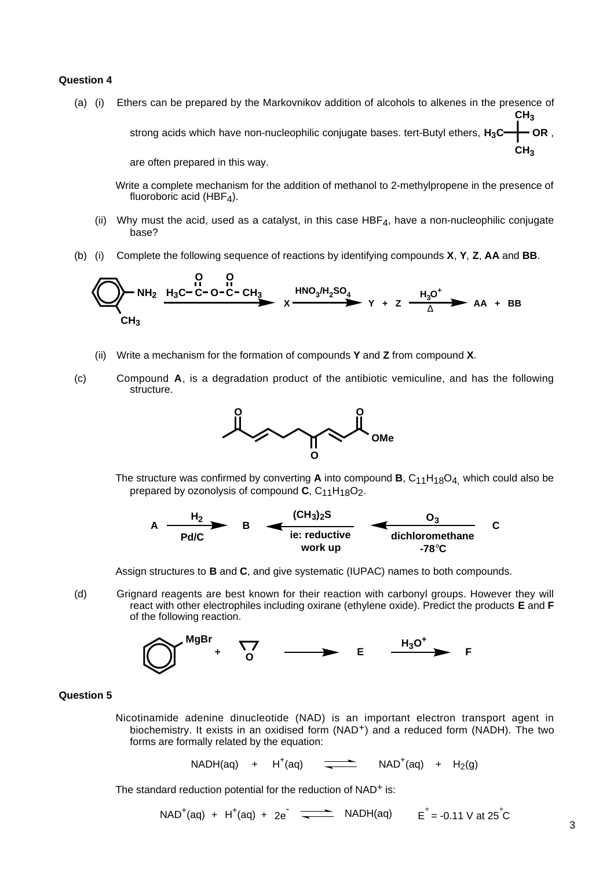# **Question 4**

(a) (i) Ethers can be prepared by the Markovnikov addition of alcohols to alkenes in the presence of strong acids which have non-nucleophilic conjugate bases. tert-Butyl ethers,  $H_3C \rightarrow \textsf{OR}$  , **CH3 CH3**

are often prepared in this way.

- Write a complete mechanism for the addition of methanol to 2-methylpropene in the presence of fluoroboric acid (HBF $_4$ ).
- (ii) Why must the acid, used as a catalyst, in this case  $HBF<sub>4</sub>$ , have a non-nucleophilic conjugate base?
- (b) (i) Complete the following sequence of reactions by identifying compounds **X**, **Y**, **Z**, **AA** and **BB**.

$$
\bigotimes_{CH_3} NH_2 \xrightarrow{P_3C-C-O-C-CH_3} X \xrightarrow{HNO_3/H_2SO_4} Y + Z \xrightarrow{H_3O^+} AA + BB
$$

- (ii) Write a mechanism for the formation of compounds **Y** and **Z** from compound **X**.
- (c) Compound **A**, is a degradation product of the antibiotic vemiculine, and has the following structure.



The structure was confirmed by converting A into compound B, C<sub>11</sub>H<sub>18</sub>O<sub>4,</sub> which could also be prepared by ozonolysis of compound **C**, C<sub>11</sub>H<sub>18</sub>O<sub>2</sub>.



Assign structures to **B** and **C**, and give systematic (IUPAC) names to both compounds.

(d) Grignard reagents are best known for their reaction with carbonyl groups. However they will react with other electrophiles including oxirane (ethylene oxide). Predict the products **E** and **F** of the following reaction.



# **Question 5**

Nicotinamide adenine dinucleotide (NAD) is an important electron transport agent in biochemistry. It exists in an oxidised form (NAD+) and a reduced form (NADH). The two forms are formally related by the equation:

> $NADH(aq)$  +  $H^+(aq)$ (aq)  $\overline{\phantom{a}}$  NAD<sup>+</sup>(aq) + H<sub>2</sub>(g)

The standard reduction potential for the reduction of NAD<sup>+</sup> is:

 $NAD^{+}(aq) + H^{+}(aq) + 2e^{-}$   $\longrightarrow$   $NADH(aq)$   $E^{°} = -0.11$  V at 25<sup>°</sup>C